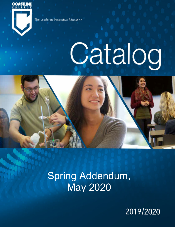

The Leader in Innovative Education

# Catalog



PHILITY PILLED  $J = J = J$ Spring Addendum, May 2020

2019/2020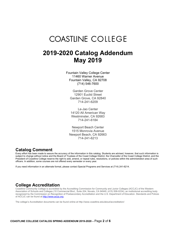# **COASTLINE COLLEGE**

## **2019-2020 Catalog Addendum May 2019**

Fountain Valley College Center 11460 Warner Avenue Fountain Valley, CA 92708 (714) 546-7600

Garden Grove Center 12901 Euclid Street Garden Grove, CA 92840 714-241-6209

Le-Jao Center 14120 All American Way Westminster, CA 92683 714-241-6184

Newport Beach Center 1515 Monrovia Avenue Newport Beach, CA 92663 714-241-6213

#### **Catalog Comment**

Every effort has been made to assure the accuracy of the information in this catalog. Students are advised, however, that such information is subject to change without notice and the Board of Trustees of the Coast College District, the Chancellor of the Coast College District, and the President of Coastline College reserve the right to add, amend, or repeal rules, resolutions, or policies within the administration area of such officers. In addition, some courses are not offered every semester or every year.

If you need information in an alternate format, please contact Special Programs and Services at (714) 241-6214.

### **College Accreditation**

Coastline Community College is accredited by the Accrediting Commission for Community and Junior Colleges (ACCJC) of the Western Association of Schools and Colleges (10 Commercial Blvd., Suite 204, Novato, CA 94949, (415) 506-0234), an institutional accrediting body recognized by the Commission on Recognition of Postsecondary Accreditation and the U.S. Department of Education. Standards and Polices of ACCJC can be found at http://www.accjc.org.

The college's Accreditation documents can be found online at http://www.coastline.edu/about/accreditation/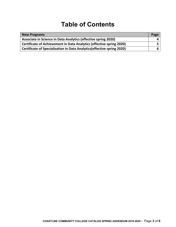# **Table of Contents**

| New Programs                                                            | Page |
|-------------------------------------------------------------------------|------|
| Associate in Science in Data Analytics (effective spring 2020)          |      |
| Certificate of Achievement in Data Analytics (effective spring 2020)    |      |
| Certificate of Specialization in Data Analytics (effective spring 2020) |      |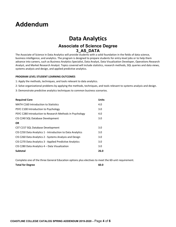# **Addendum**

## **Data Analytics Associate of Science Degree 3\_AS\_DATA**

 The Associate of Science in Data Analytics will provide students with a solid foundation in the fields of data science, business intelligence, and analytics. The program is designed to prepare students for entry‐level jobs or to help them advance into careers, such as Business Analytics Specialist, Data Analyst, Data Visualization Developer, Operations Research Analyst, and Market Research Analyst. Topics covered will include statistics, research methods, SQL queries and data views, systems analysis and design, and applied predictive analytics.

#### **PROGRAM LEVEL STUDENT LEARNING OUTCOMES**

1: Apply the methods, techniques, and tools relevant to data analytics.

- 2: Solve organizational problems by applying the methods, techniques, and tools relevant to systems analysis and design.
- 3: Demonstrate predictive analytics techniques to common business scenarios.

| <b>Required Core</b>                                       | <b>Units</b> |
|------------------------------------------------------------|--------------|
| <b>MATH C160 Introduction to Statistics</b>                | 4.0          |
| PSYC C100 Introduction to Psychology                       | 3.0          |
| PSYC C280 Introduction to Research Methods in Psychology   | 4.0          |
| CIS C240 SQL Database Development                          | 3.0          |
| <b>OR</b>                                                  |              |
| CST C157 SQL Database Development                          | 3.0          |
| CIS C250 Data Analytics 1 - Introduction to Data Analytics | 3.0          |
| CIS C260 Data Analytics 2 - Systems Analysis and Design    | 3.0          |
| CIS C270 Data Analytics 3 - Applied Predictive Analytics   | 3.0          |
| CIS C280 Data Analytics 4 – Data Visualization             | 3.0          |
| <b>Subtotal</b>                                            | 26.0         |

Complete one of the three General Education options plus electives to meet the 60‐unit requirement.

 **Total for Degree 60.0**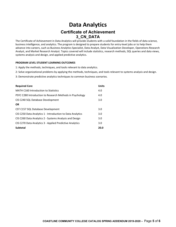## **Data Analytics Certificate of Achievement 3\_CN\_DATA**

 The Certificate of Achievement in Data Analytics will provide students with a solid foundation in the fields of data science, business intelligence, and analytics. The program is designed to prepare students for entry‐level jobs or to help them advance into careers, such as Business Analytics Specialist, Data Analyst, Data Visualization Developer, Operations Research Analyst, and Market Research Analyst. Topics covered will include statistics, research methods, SQL queries and data views, systems analysis and design, and applied predictive analytics.

#### **PROGRAM LEVEL STUDENT LEARNING OUTCOMES**

- 1: Apply the methods, techniques, and tools relevant to data analytics.
- 2: Solve organizational problems by applying the methods, techniques, and tools relevant to systems analysis and design.
- 3: Demonstrate predictive analytics techniques to common business scenarios.

| <b>Required Core</b>                                       | <b>Units</b> |
|------------------------------------------------------------|--------------|
| <b>MATH C160 Introduction to Statistics</b>                | 4.0          |
| PSYC C280 Introduction to Research Methods in Psychology   | 4.0          |
| CIS C240 SQL Database Development                          | 3.0          |
| <b>OR</b>                                                  |              |
| CST C157 SQL Database Development                          | 3.0          |
| CIS C250 Data Analytics 1 - Introduction to Data Analytics | 3.0          |
| CIS C260 Data Analytics 2 - Systems Analysis and Design    | 3.0          |
| CIS C270 Data Analytics 3 - Applied Predictive Analytics   | 3.0          |
| <b>Subtotal</b>                                            | 20.0         |